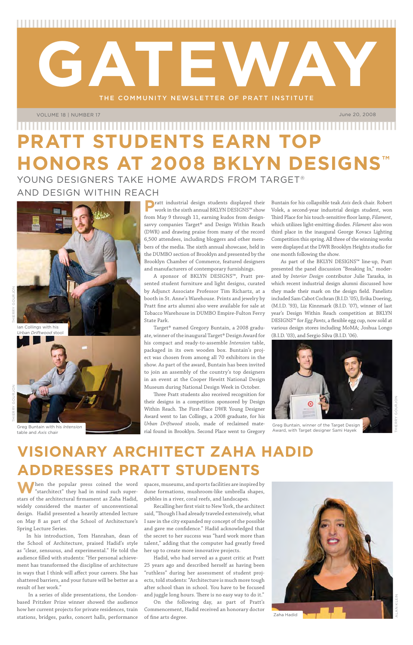THE COMMUNITY NEWSLETTER OF PRATT INSTITUTE

**GATEWAY** 

**W**hen the popular press coined the word "starchitect" they had in mind such superstars of the architectural firmament as Zaha Hadid, widely considered the master of unconventional design. Hadid presented a heavily attended lecture on May 8 as part of the School of Architecture's Spring Lecture Series.

In his introduction, Tom Hanrahan, dean of the School of Architecture, praised Hadid's style as "clear, sensuous, and experimental." He told the audience filled with students: "Her personal achievement has transformed the discipline of architecture in ways that I think will affect your careers. She has shattered barriers, and your future will be better as a result of her work."

 In a series of slide presentations, the Londonbased Pritzker Prize winner showed the audience how her current projects for private residences, train stations, bridges, parks, concert halls, performance spaces, museums, and sports facilities are inspired by dune formations, mushroom-like umbrella shapes, pebbles in a river, coral reefs, and landscapes.

Recalling her first visit to New York, the architect said, "Though I had already traveled extensively, what I saw in the city expanded my concept of the possible and gave me confidence." Hadid acknowledged that the secret to her success was "hard work more than talent," adding that the computer had greatly freed her up to create more innovative projects.

**P**ratt industrial design students displayed their work in the sixth annual BKLYN DESIGNS™ show from May 9 through 11, earning kudos from designsavvy companies Target® and Design Within Reach (DWR) and drawing praise from many of the record 6,500 attendees, including bloggers and other members of the media. The sixth annual showcase, held in the DUMBO section of Brooklyn and presented by the Brooklyn Chamber of Commerce, featured designers and manufacturers of contemporary furnishings.

Hadid, who had served as a guest critic at Pratt 25 years ago and described herself as having been "ruthless" during her assessment of student projects, told students: "Architecture is much more tough after school than in school. You have to be focused and juggle long hours. There is no easy way to do it." On the following day, as part of Pratt's Commencement, Hadid received an honorary doctor of fine arts degree.

Three Pratt students also received recognition for their designs in a competition sponsored by Design Within Reach. The First-Place DWR Young Designer Award went to Ian Collings, a 2008 graduate, for his *Urban Driftwood* stools, made of reclaimed mate-Greg Buntain with his Intension<br>
The Technology Museum of the Cregory Award, with Target designer Sami Hayek<br>
The Technology Critical Gregory Award, with Target designer Sami Hayek Table and Axis chair

June 20, 2008

VOLUME 18 | NUMBER 17

## **Visionary Architect Zaha Hadid Addresses Pratt Students**

## **PRATT STUDENTS EARN TOP HONORS AT 2008 BKLYN DESIGNS™** YOUNG DESIGNERS TAKE HOME AWARDS FROM TARGET®

A sponsor of BKLYN DESIGNS™, Pratt presented student furniture and light designs, curated by Adjunct Associate Professor Tim Richartz, at a booth in St. Anne's Warehouse. Prints and jewelry by Pratt fine arts alumni also were available for sale at Tobacco Warehouse in DUMBO Empire-Fulton Ferry State Park.

Target® named Gregory Buntain, a 2008 graduate, winner of the inaugural Target® Design Award for his compact and ready-to-assemble *Intension* table, packaged in its own wooden box. Buntain's project was chosen from among all 70 exhibitors in the show. As part of the award, Buntain has been invited to join an assembly of the country's top designers in an event at the Cooper Hewitt National Design Museum during National Design Week in October.

Buntain for his collapsible teak *Axis* deck chair. Robert Volek, a second-year industrial design student, won Third Place for his touch-sensitive floor lamp, *Filament*, which utilizes light-emitting diodes. *Filament* also won third place in the inaugural George Kovacs Lighting Competition this spring. All three of the winning works were displayed at the DWR Brooklyn Heights studio for one month following the show.

As part of the BKLYN DESIGNS™ line-up, Pratt presented the panel discussion "Breaking In," moderated by *Interior Design* contributor Julie Taraska, in which recent industrial design alumni discussed how they made their mark on the design field. Panelists included Sam Cabot Cochran (B.I.D. '05), Erika Doering, (M.I.D. '93), Liz Kinnmark (B.I.D. '07), winner of last year's Design Within Reach competition at BKLYN DESIGNS™ for *Egg Pants*, a flexible egg cup, now sold at various design stores including MoMA; Joshua Longo (B.I.D. '03), and Sergio Silva (B.I.D. '06).





and Design Within Reach



Thierry Gourjon

table and *Axis* chair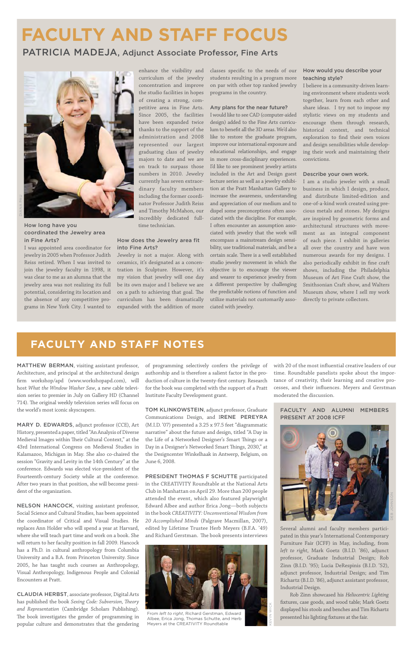MATTHEW BERMAN, visiting assistant professor, Architecture, and principal at the architectural design firm workshop/apd (www.workshopapd.com), will host *What the Window Washer Saw*, a new cable television series to premier in July on Gallery HD (Channel 714). The original weekly television series will focus on the world's most iconic skyscrapers.

MARY D. EDWARDS, adjunct professor (CCE), Art History, presented a paper, titled "An Analysis of Diverse Medieval Images within Their Cultural Context," at the 43rd International Congress on Medieval Studies in Kalamazoo, Michigan in May. She also co-chaired the session "Gravity and Levity in the 14th Century" at the conference. Edwards was elected vice-president of the

NELSON HANCOCK, visiting assistant professor, Social Science and Cultural Studies, has been appointed the coordinator of Critical and Visual Studies. He replaces Ann Holder who will spend a year at Harvard, where she will teach part time and work on a book. She will return to her faculty position in fall 2009. Hancock has a Ph.D. in cultural anthropology from Columbia University and a B.A. from Princeton University. Since 2005, he has taught such courses as Anthropology, Visual Anthropology, Indigenous People and Colonial Encounters at Pratt.

Fourteenth-century Society while at the conference. After two years in that position, she will become president of the organization.

CLAUDIA HERBST, associate professor, Digital Arts has published the book *Sexing Code: Subversion, Theory and Representation* (Cambridge Scholars Publishing). The book investigates the gender of programming in popular culture and demonstrates that the gendering

TOM KLINKOWSTEIN, adjunct professor, Graduate Communications Design, and IRENE PEREYRA (M.I.D. '07) presented a 3.25 x 97.5 feet "diagrammatic narrative" about the future and design, titled "A Day in the Life of a Networked Designer's Smart Things or a Day in a Designer's Networked Smart Things, 2030," at the Designcenter Winkelhaak in Antwerp, Belgium, on June 6, 2008.

PRESIDENT THOMAS F SCHUTTE participated in the CREATIVITY Roundtable at the National Arts Club in Manhattan on April 29. More than 200 people attended the event, which also featured playwright Edward Albee and author Erica Jong—both subjects in the book *CREATIVITY: Unconventional Wisdom from 20 Accomplished Minds* (Palgrave Macmillan, 2007), edited by Lifetime Trustee Herb Meyers (B.F.A. '49) and Richard Gerstman. The book presents interviews

of programming selectively confers the privilege of authorship and is therefore a salient factor in the production of culture in the twenty-first century. Research for the book was completed with the support of a Pratt Institute Faculty Development grant.

with 20 of the most influential creative leaders of our time. Roundtable panelists spoke about the importance of creativity, their learning and creative processes, and their influences. Meyers and Gerstman moderated the discussion.

### **faculty and staff notes**

## **faculty and staff focus**

### PATRICIA MADEJA, Adjunct Associate Professor, Fine Arts



How long have you coordinated the Jewelry area in Fine Arts?

I was appointed area coordinator for jewelry in 2005 when Professor Judith Reiss retired. When I was invited to join the jewelry faculty in 1998, it was clear to me as an alumna that the jewelry area was not realizing its full potential, considering its location and the absence of any competitive programs in New York City. I wanted to

enhance the visibility and curriculum of the jewelry concentration and improve the studio facilities in hopes of creating a strong, competitive area in Fine Arts. Since 2005, the facilities have been expanded twice thanks to the support of the administration and 2008 represented our largest graduating class of jewelry majors to date and we are on track to surpass those numbers in 2010. Jewelry currently has seven extraordinary faculty members including the former coordinator Professor Judith Reiss and Timothy McMahon, our incredibly dedicated fulltime technician.

#### How does the Jewelry area fit into Fine Arts?

Jewelry is not a major. Along with ceramics, it's designated as a concentration in Sculpture. However, it's my vision that jewelry will one day be its own major and I believe we are on a path to achieving that goal. The curriculum has been dramatically expanded with the addition of more

classes specific to the needs of our students resulting in a program more on par with other top ranked jewelry programs in the country.

#### Any plans for the near future?

I would like to see CAD (computer-aided design) added to the Fine Arts curriculum to benefit all the 3D areas. We'd also like to restore the graduate program, improve our international exposure and educational relationships, and engage in more cross-disciplinary experiences. I'd like to see prominent jewelry artists included in the Art and Design guest lecture series as well as a jewelry exhibition at the Pratt Manhattan Gallery to increase the awareness, understanding and appreciation of our medium and to dispel some preconceptions often associated with the discipline. For example, I often encounter an assumption associated with jewelry that the work will encompass a mainstream design sensibility, use traditional materials, and be a certain scale. There is a well established studio jewelry movement in which the objective is to encourage the viewer and wearer to experience jewelry from a different perspective by challenging the predictable notions of function and utilize materials not customarily associated with jewelry.

#### How would you describe your teaching style?

I believe in a community-driven learning environment where students work together, learn from each other and share ideas. I try not to impose my stylistic views on my students and encourage them through research, historical context, and technical exploration to find their own voices and design sensibilities while developing their work and maintaining their convictions.

#### Describe your own work.

I am a studio jeweler with a small business in which I design, produce, and distribute limited-edition and one-of-a-kind work created using precious metals and stones. My designs are inspired by geometric forms and architectural structures with movement as an integral component of each piece. I exhibit in galleries all over the country and have won numerous awards for my designs. I also periodically exhibit in fine craft shows, including the Philadelphia Museum of Art Fine Craft show, the Smithsonian Craft show, and Walters Museum show, where I sell my work directly to private collectors.

#### Faculty and Alumni Members Present at 2008 ICFF

Several alumni and faculty members participated in this year's International Contemporary Furniture Fair (ICFF) in May, including, from *left to right*, Mark Goetz (B.I.D. '86), adjunct professor, Graduate Industrial Design; Rob Zinn (B.I.D. '95); Lucia DeRespinis (B.I.D. '52), adjunct professor, Industrial Design; and Tim Richartz (B.I.D. '86), adjunct assistant professor, Industrial Design.

Rob Zinn showcased his *Heliocentric Lighting* fixtures, case goods, and wood table; Mark Goetz displayed his stools and benches and Tim Richartz presented his lighting fixtures at the fair.



Kevin wick



From *left to right*, Richard Gerstman, Edward Albee, Erica Jong, Thomas Schutte, and Herb Meyers at the CREATIVITY Roundtable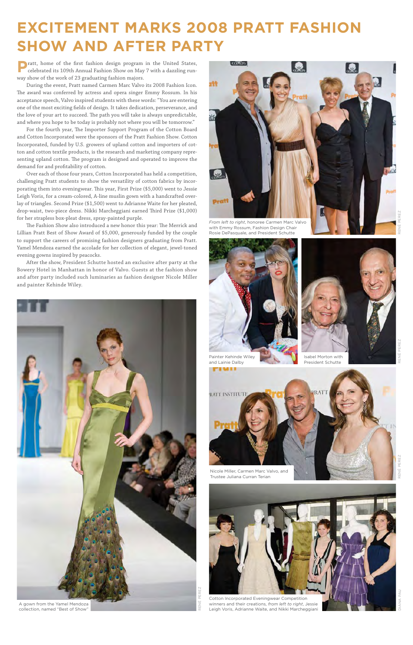## **Excitement Marks 2008 Pratt Fashion Show and After party**

**P**ratt, home of the first fashion design program in the United States, celebrated its 109th Annual Fashion Show on May 7 with a dazzling runway show of the work of 23 graduating fashion majors.

During the event, Pratt named Carmen Marc Valvo its 2008 Fashion Icon. The award was conferred by actress and opera singer Emmy Rossum. In his acceptance speech, Valvo inspired students with these words: "You are entering one of the most exciting fields of design. It takes dedication, perseverance, and the love of your art to succeed. The path you will take is always unpredictable, and where you hope to be today is probably not where you will be tomorrow."

For the fourth year, The Importer Support Program of the Cotton Board and Cotton Incorporated were the sponsors of the Pratt Fashion Show. Cotton Incorporated, funded by U.S. growers of upland cotton and importers of cotton and cotton textile products, is the research and marketing company representing upland cotton. The program is designed and operated to improve the demand for and profitability of cotton.

Over each of those four years, Cotton Incorporated has held a competition, challenging Pratt students to show the versatility of cotton fabrics by incorporating them into eveningwear. This year, First Prize (\$5,000) went to Jessie Leigh Voris, for a cream-colored, A-line muslin gown with a handcrafted overlay of triangles. Second Prize (\$1,500) went to Adrianne Waite for her pleated, drop-waist, two-piece dress. Nikki Marcheggiani earned Third Prize (\$1,000) for her strapless box-pleat dress, spray-painted purple.

The Fashion Show also introduced a new honor this year: The Merrick and Lillian Pratt Best of Show Award of \$5,000, generously funded by the couple to support the careers of promising fashion designers graduating from Pratt. Yamel Mendoza earned the accolade for her collection of elegant, jewel-toned evening gowns inspired by peacocks.

After the show, President Schutte hosted an exclusive after party at the Bowery Hotel in Manhattan in honor of Valvo. Guests at the fashion show and after party included such luminaries as fashion designer Nicole Miller and painter Kehinde Wiley.





with Emmy Rossum, Fashion Design Chair Rosie DePasquale, and President Schutte



Painter Kehinde Wiley and Lainie Dalby

Isabel Morton with President Schutte



Nicole Miller, Carmen Marc Valvo, and



Trustee Juliana Curran Terian



Cotton Incorporated Eveningwear Competition winners and their creations, *from left to right*, Jessie Leigh Voris, Adrianne Waite, and Nikki Marcheggiani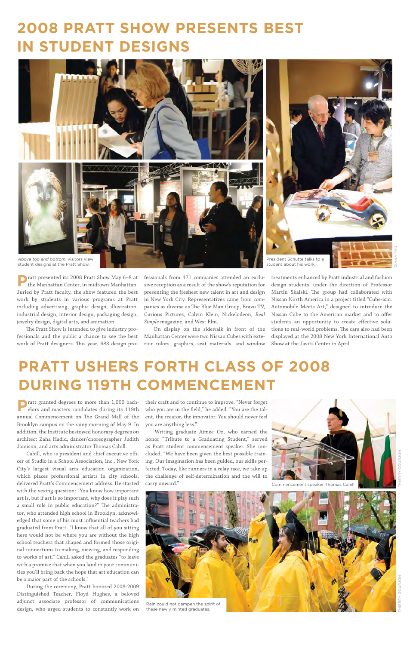**P**ratt granted degrees to more than 1,000 bachelors and masters candidates during its 119th annual Commencement on The Grand Mall of the Brooklyn campus on the rainy morning of May 9. In addition, the Institute bestowed honorary degrees on architect Zaha Hadid, dancer/choreographer Judith Jamison, and arts administrator Thomas Cahill.

Cahill, who is president and chief executive officer of Studio in a School Association, Inc., New York City's largest visual arts education organization, which places professional artists in city schools, delivered Pratt's Commencement address. He started with the vexing question: "You know how important art is, but if art is so important, why does it play such a small role in public education?" The administrator, who attended high school in Brooklyn, acknowledged that some of his most influential teachers had graduated from Pratt. "I know that all of you sitting here would not be where you are without the high school teachers that shaped and formed those original connections to making, viewing, and responding to works of art." Cahill asked the graduates "to leave with a promise that when you land in your communities you'll bring back the hope that art education can be a major part of the schools."

During the ceremony, Pratt honored 2008-2009 Distinguished Teacher, Floyd Hughes, a beloved adjunct associate professor of communications design, who urged students to constantly work on

their craft and to continue to improve. "Never forget who you are in the field," he added. "You are the talent, the creator, the innovator. You should never feel you are anything less."

Writing graduate Aimee Oz, who earned the honor "Tribute to a Graduating Student," served as Pratt student commencement speaker. She concluded, "We have been given the best possible training. Our imagination has been guided, our skills perfected. Today, like runners in a relay race, we take up the challenge of self-determination and the will to carry onward."



**P**ratt presented its 2008 Pratt Show May 6–8 at the Manhattan Center, in midtown Manhattan. Juried by Pratt faculty, the show featured the best work by students in various programs at Pratt including advertising, graphic design, illustration, industrial design, interior design, packaging design, jewelry design, digital arts, and animation.

The Pratt Show is intended to give industry professionals and the public a chance to see the best work of Pratt designers. This year, 683 design professionals from 471 companies attended an exclusive reception as a result of the show's reputation for presenting the freshest new talent in art and design in New York City. Representatives came from companies as diverse as The Blue Man Group, Bravo TV, Curious Pictures, Calvin Klein, Nickelodeon, *Real Simple* magazine, and West Elm.

On display on the sidewalk in front of the Manhattan Center were two Nissan Cubes with exterior colors, graphics, seat materials, and window

treatments enhanced by Pratt industrial and fashion design students, under the direction of Professor Martin Skalski. The group had collaborated with Nissan North America in a project titled "Cube-ism: Automobile Meets Art," designed to introduce the Nissan Cube to the American market and to offer students an opportunity to create effective solutions to real-world problems. The cars also had been displayed at the 2008 New York International Auto Show at the Javits Center in April.

## **2008 Pratt Show Presents Best in Student Designs**

## **PRATT USHERS FORTH CLASS OF 2008 DURING 119TH COMMENCEMENT**

these newly minted graduates.



Commencement speaker Thomas Cahill

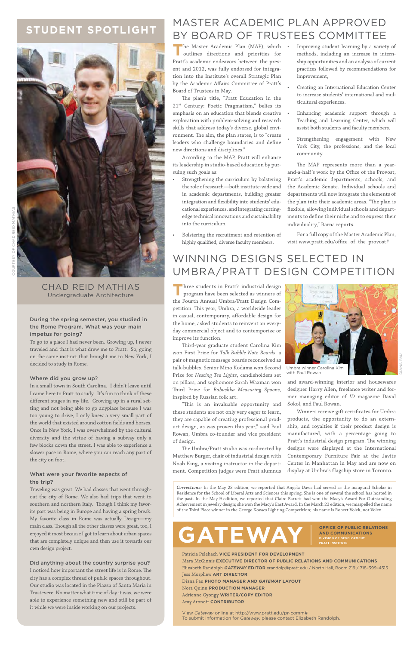#### During the spring semester, you studied in the Rome Program. What was your main impetus for going?

To go to a place I had never been. Growing up, I never traveled and that is what drew me to Pratt. So, going on the same instinct that brought me to New York, I decided to study in Rome.

#### Where did you grow up?

In a small town in South Carolina. I didn't leave until I came here to Pratt to study. It's fun to think of these different stages in my life. Growing up in a rural setting and not being able to go anyplace because I was too young to drive, I only knew a very small part of the world that existed around cotton fields and horses. Once in New York, I was overwhelmed by the cultural diversity and the virtue of having a subway only a few blocks down the street. I was able to experience a slower pace in Rome, where you can reach any part of the city on foot.

What were your favorite aspects of the trip?

**Three students in Pratt's industrial design** program have been selected as winners of the Fourth Annual Umbra/Pratt Design Competition. This year, Umbra, a worldwide leader in casual, contemporary, affordable design for the home, asked students to reinvent an everyday commercial object and to contemporize or improve its function.

Traveling was great. We had classes that went throughout the city of Rome. We also had trips that went to southern and northern Italy. Though I think my favorite part was being in Europe and having a spring break. My favorite class in Rome was actually Design—my main class. Though all the other classes were great, too, I enjoyed it most because I got to learn about urban spaces that are completely unique and then use it towards our own design project.

#### Did anything about the country surprise you?

I noticed how important the street life is in Rome. The city has a complex thread of public spaces throughout. Our studio was located in the Piazza of Santa Maria in Trastevere. No matter what time of day it was, we were able to experience something new and still be part of it while we were inside working on our projects.

### WINNING DESIGNS SELECTED IN Umbra/Pratt Design Competition

### **student spotlight**



The Master Academic Plan (MAP), which **•**<br>outlines directions and priorities for outlines directions and priorities for Pratt's academic endeavors between the present and 2012, was fully endorsed for integration into the Institute's overall Strategic Plan by the Academic Affairs Committee of Pratt's Board of Trustees in May.

Third-year graduate student Carolina Kim won First Prize for *Talk Bubble Note Boards*, a pair of magnetic message boards reconceived as talk-bubbles. Senior Mino Kodama won Second Prize for *Nesting Tea Lights*, candleholders set on pillars; and sophomore Sarah Waxman won Third Prize for *Babushka Measuring Spoons*, inspired by Russian folk art.

"This is an invaluable opportunity and these students are not only very eager to learn, they are capable of creating professional product design, as was proven this year," said Paul Rowan, Umbra co-founder and vice president of design.

The Umbra/Pratt studio was co-directed by Matthew Burger, chair of industrial design with Noah King, a visiting instructor in the department. Competition judges were Pratt alumnus

and award-winning interior and housewares designer Harry Allen, freelance writer and former managing editor of *ID* magazine David Sokol, and Paul Rowan.

Winners receive gift certificates for Umbra products, the opportunity to do an externship, and royalties if their product design is manufactured, with a percentage going to Pratt's industrial design program. The winning designs were displayed at the International Contemporary Furniture Fair at the Javits Center in Manhattan in May and are now on display at Umbra's flagship store in Toronto.



with Paul Rowan

Chad Reid Mathias Undergraduate Architecture

View *Gateway* online at http://www.pratt.edu/pr-comm# To submit information for *Gateway*, please contact Elizabeth Randolph.

Patricia Pelehach **vice president for development** Mara McGinnis **executive director of public relations and communications** Elizabeth Randolph *gateway* **editor** erandolp@pratt.edu / North Hall, Room 219 / 718–399–4515 Jess Morphew **Art Director** Diana Pau **Photo manager and** *gateway* **Layout** Nora Quinn **Production Manager** Adrienne Gyongy WRITER/COPY EDITOR Amy Aronoff **Contributor**

**and Communications division of development pratt institute**

### Master Academic Plan Approved by Board of Trustees Committee

The plan's title, "Pratt Education in the 21<sup>st</sup> Century: Poetic Pragmatism," belies its emphasis on an education that blends creative exploration with problem-solving and research skills that address today's diverse, global environment. The aim, the plan states, is to "create leaders who challenge boundaries and define new directions and disciplines."

According to the MAP, Pratt will enhance its leadership in studio-based education by pursuing such goals as:

- Strengthening the curriculum by bolstering the role of research—both institute-wide and in academic departments, building greater integration and flexibility into students' educational experiences, and integrating cuttingedge technical innovations and sustainability into the curriculum.
- Bolstering the recruitment and retention of highly qualified, diverse faculty members. •

•

- Improving student learning by a variety of methods, including an increase in internship opportunities and an analysis of current practices followed by recommendations for improvement,
- Creating an International Education Center to increase students' international and multicultural experiences. •
- Enhancing academic support through a Teaching and Learning Center, which will assist both students and faculty members. •
- Strengthening engagement with New York City, the professions, and the local community. •

The MAP represents more than a yearand-a-half's work by the Office of the Provost, Pratt's academic departments, schools, and the Academic Senate. Individual schools and departments will now integrate the elements of the plan into their academic areas. "The plan is flexible, allowing individual schools and departments to define their niche and to express their individuality," Barna reports.

For a full copy of the Master Academic Plan, visit www.pratt.edu/office\_of\_the\_provost#

*Corrections:* In the May 23 edition, we reported that Angela Davis had served as the inaugural Scholar in Residence for the School of Liberal Arts and Sciences this spring. She is one of several the school has hosted in the past. In the May 9 edition, we reported that Claire Barrett had won the Macy's Award For Outstanding Achievement in jewelry design; she won the Macy's East Award. In the March 23 edition, we misspelled the name of the Third Place winner in the George Kovacs Lighting Competition; his name is Robert Volek, not Volex.

# GATEWAY **BUD COMMUNICATIONS**